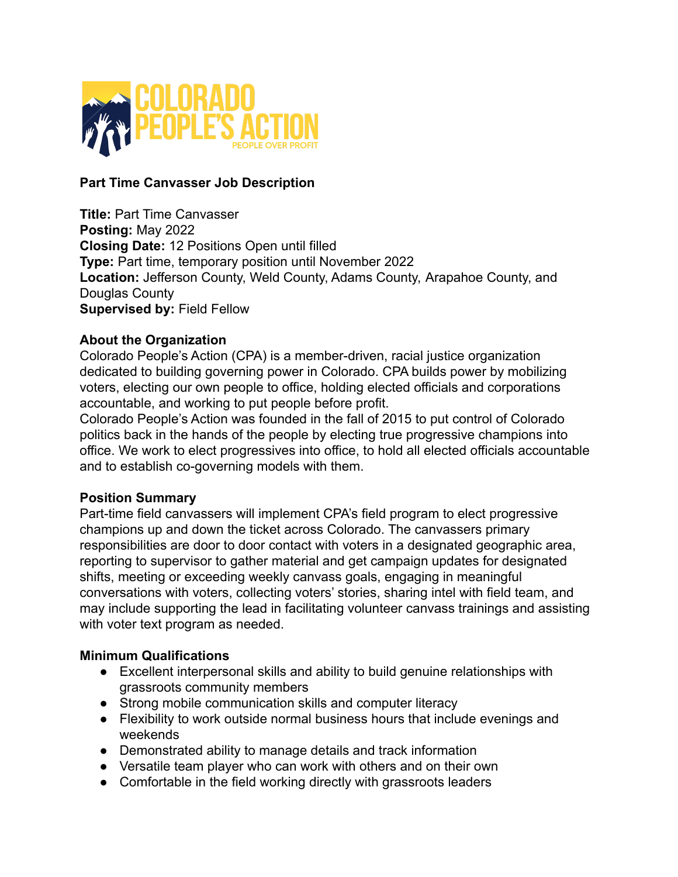

# **Part Time Canvasser Job Description**

**Title:** Part Time Canvasser **Posting:** May 2022 **Closing Date:** 12 Positions Open until filled **Type:** Part time, temporary position until November 2022 **Location:** Jefferson County, Weld County, Adams County, Arapahoe County, and Douglas County **Supervised by:** Field Fellow

### **About the Organization**

Colorado People's Action (CPA) is a member-driven, racial justice organization dedicated to building governing power in Colorado. CPA builds power by mobilizing voters, electing our own people to office, holding elected officials and corporations accountable, and working to put people before profit.

Colorado People's Action was founded in the fall of 2015 to put control of Colorado politics back in the hands of the people by electing true progressive champions into office. We work to elect progressives into office, to hold all elected officials accountable and to establish co-governing models with them.

### **Position Summary**

Part-time field canvassers will implement CPA's field program to elect progressive champions up and down the ticket across Colorado. The canvassers primary responsibilities are door to door contact with voters in a designated geographic area, reporting to supervisor to gather material and get campaign updates for designated shifts, meeting or exceeding weekly canvass goals, engaging in meaningful conversations with voters, collecting voters' stories, sharing intel with field team, and may include supporting the lead in facilitating volunteer canvass trainings and assisting with voter text program as needed.

### **Minimum Qualifications**

- Excellent interpersonal skills and ability to build genuine relationships with grassroots community members
- Strong mobile communication skills and computer literacy
- Flexibility to work outside normal business hours that include evenings and weekends
- Demonstrated ability to manage details and track information
- Versatile team player who can work with others and on their own
- Comfortable in the field working directly with grassroots leaders